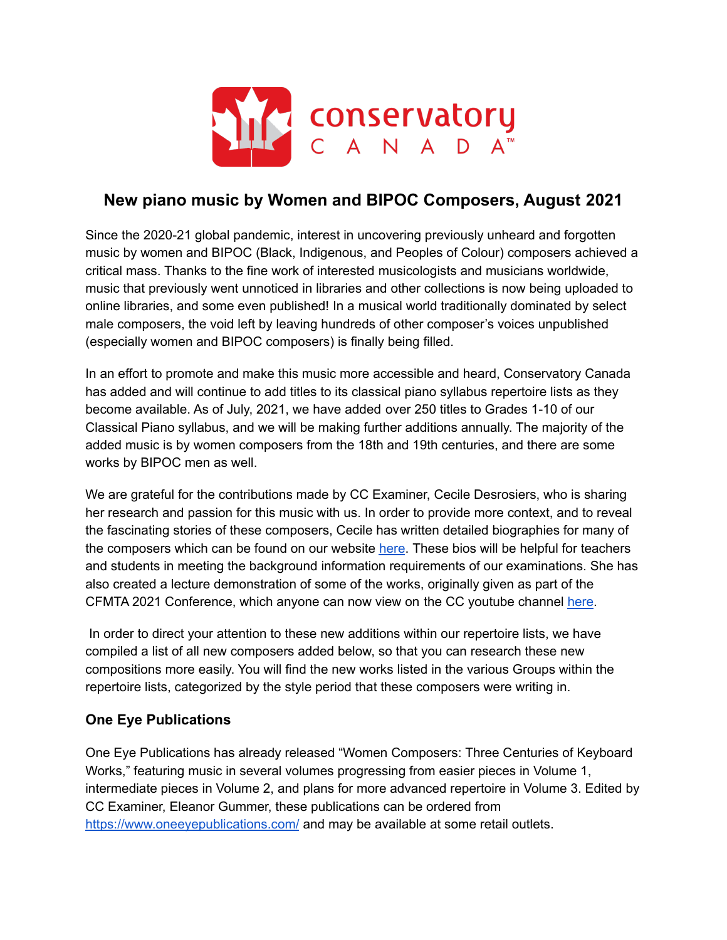

# **New piano music by Women and BIPOC Composers, August 2021**

Since the 2020-21 global pandemic, interest in uncovering previously unheard and forgotten music by women and BIPOC (Black, Indigenous, and Peoples of Colour) composers achieved a critical mass. Thanks to the fine work of interested musicologists and musicians worldwide, music that previously went unnoticed in libraries and other collections is now being uploaded to online libraries, and some even published! In a musical world traditionally dominated by select male composers, the void left by leaving hundreds of other composer's voices unpublished (especially women and BIPOC composers) is finally being filled.

In an effort to promote and make this music more accessible and heard, Conservatory Canada has added and will continue to add titles to its classical piano syllabus repertoire lists as they become available. As of July, 2021, we have added over 250 titles to Grades 1-10 of our Classical Piano syllabus, and we will be making further additions annually. The majority of the added music is by women composers from the 18th and 19th centuries, and there are some works by BIPOC men as well.

We are grateful for the contributions made by CC Examiner, Cecile Desrosiers, who is sharing her research and passion for this music with us. In order to provide more context, and to reveal the fascinating stories of these composers, Cecile has written detailed biographies for many of the composers which can be found on our website [here](https://conservatorycanada.ca/wp-content/uploads/2017/07/Women-and-BIPOC-composer-bios.pdf). These bios will be helpful for teachers and students in meeting the background information requirements of our examinations. She has also created a lecture demonstration of some of the works, originally given as part of the CFMTA 2021 Conference, which anyone can now view on the CC youtube channel [here](https://youtu.be/BkswQCKxXp4).

In order to direct your attention to these new additions within our repertoire lists, we have compiled a list of all new composers added below, so that you can research these new compositions more easily. You will find the new works listed in the various Groups within the repertoire lists, categorized by the style period that these composers were writing in.

## **One Eye Publications**

One Eye Publications has already released "Women Composers: Three Centuries of Keyboard Works," featuring music in several volumes progressing from easier pieces in Volume 1, intermediate pieces in Volume 2, and plans for more advanced repertoire in Volume 3. Edited by CC Examiner, Eleanor Gummer, these publications can be ordered fro[m](https://www.oneeyepublications.com/) <https://www.oneeyepublications.com/> and may be available at some retail outlets.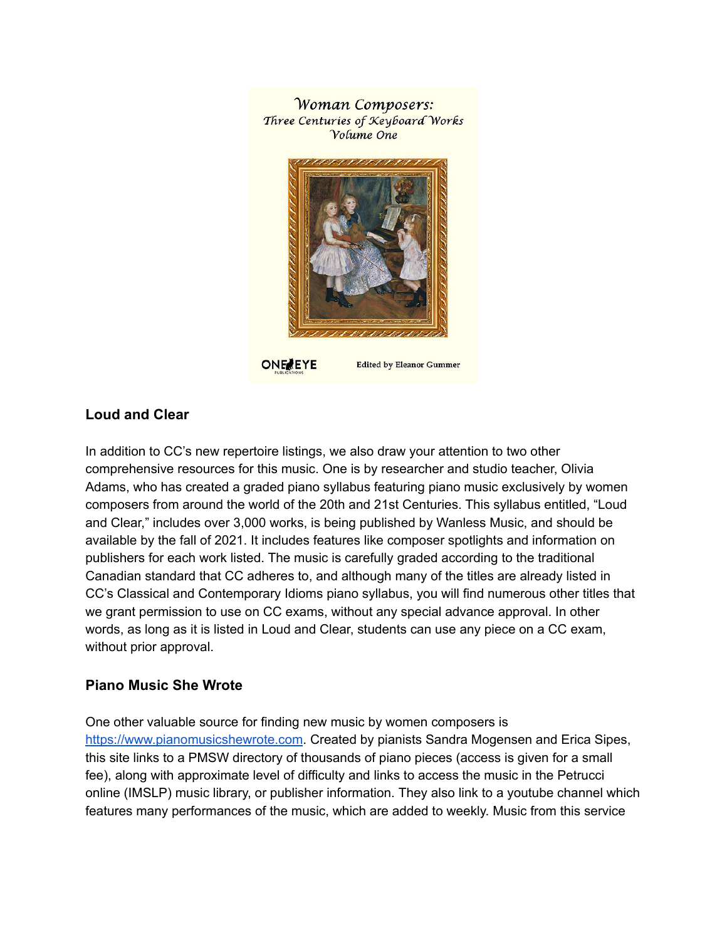**Woman Composers:** Three Centuries of Keyboard Works Volume One



**ONE EYE** 

**Edited by Eleanor Gummer** 

### **Loud and Clear**

In addition to CC's new repertoire listings, we also draw your attention to two other comprehensive resources for this music. One is by researcher and studio teacher, Olivia Adams, who has created a graded piano syllabus featuring piano music exclusively by women composers from around the world of the 20th and 21st Centuries. This syllabus entitled, "Loud and Clear," includes over 3,000 works, is being published by Wanless Music, and should be available by the fall of 2021. It includes features like composer spotlights and information on publishers for each work listed. The music is carefully graded according to the traditional Canadian standard that CC adheres to, and although many of the titles are already listed in CC's Classical and Contemporary Idioms piano syllabus, you will find numerous other titles that we grant permission to use on CC exams, without any special advance approval. In other words, as long as it is listed in Loud and Clear, students can use any piece on a CC exam, without prior approval.

### **Piano Music She Wrote**

One other valuable source for finding new music by women composers is <https://www.pianomusicshewrote.com>. Created by pianists Sandra Mogensen and Erica Sipes, this site links to a PMSW directory of thousands of piano pieces (access is given for a small fee), along with approximate level of difficulty and links to access the music in the Petrucci online (IMSLP) music library, or publisher information. They also link to a youtube channel which features many performances of the music, which are added to weekly. Music from this service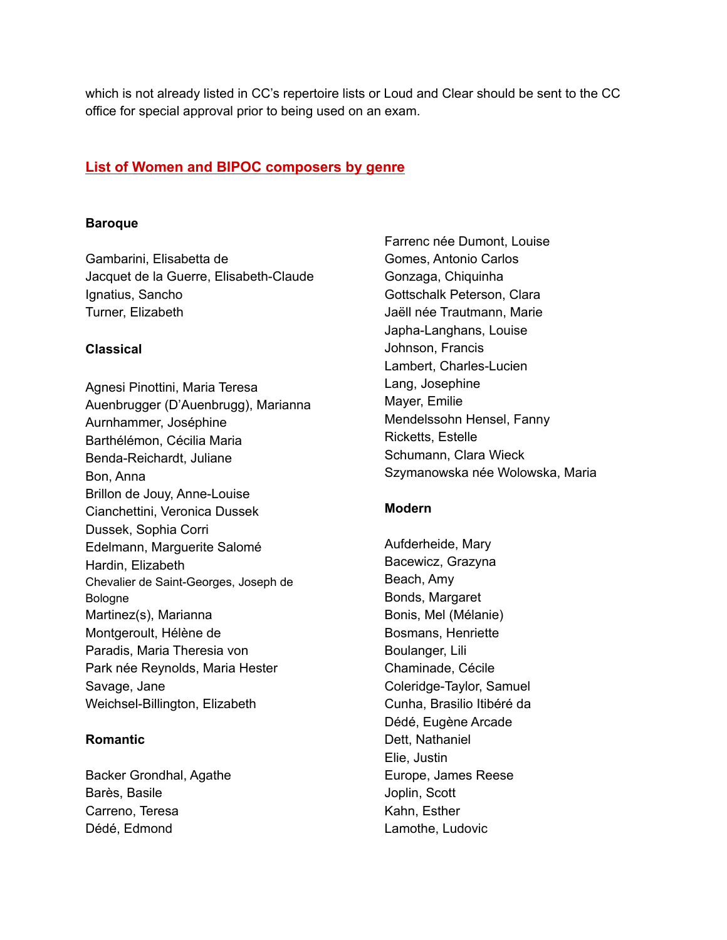which is not already listed in CC's repertoire lists or Loud and Clear should be sent to the CC office for special approval prior to being used on an exam.

### **List of Women and BIPOC composers by genre**

#### **Baroque**

Gambarini, Elisabetta de Jacquet de la Guerre, Elisabeth-Claude Ignatius, Sancho Turner, Elizabeth

### **Classical**

Agnesi Pinottini, Maria Teresa Auenbrugger (D'Auenbrugg), Marianna Aurnhammer, Joséphine Barthélémon, Cécilia Maria Benda-Reichardt, Juliane Bon, Anna Brillon de Jouy, Anne-Louise Cianchettini, Veronica Dussek Dussek, Sophia Corri Edelmann, Marguerite Salomé Hardin, Elizabeth Chevalier de Saint-Georges, Joseph de Bologne Martinez(s), Marianna Montgeroult, Hélène de Paradis, Maria Theresia von Park née Reynolds, Maria Hester Savage, Jane Weichsel-Billington, Elizabeth

### **Romantic**

Backer Grondhal, Agathe Barès, Basile Carreno, Teresa Dédé, Edmond

Farrenc née Dumont, Louise Gomes, Antonio Carlos Gonzaga, Chiquinha Gottschalk Peterson, Clara Jaëll née Trautmann, Marie Japha-Langhans, Louise Johnson, Francis Lambert, Charles-Lucien Lang, Josephine Mayer, Emilie Mendelssohn Hensel, Fanny Ricketts, Estelle Schumann, Clara Wieck Szymanowska née Wolowska, Maria

### **Modern**

Aufderheide, Mary Bacewicz, Grazyna Beach, Amy Bonds, Margaret Bonis, Mel (Mélanie) Bosmans, Henriette Boulanger, Lili Chaminade, Cécile Coleridge-Taylor, Samuel Cunha, Brasilio Itibéré da Dédé, Eugène Arcade Dett, Nathaniel Elie, Justin Europe, James Reese Joplin, Scott Kahn, Esther Lamothe, Ludovic